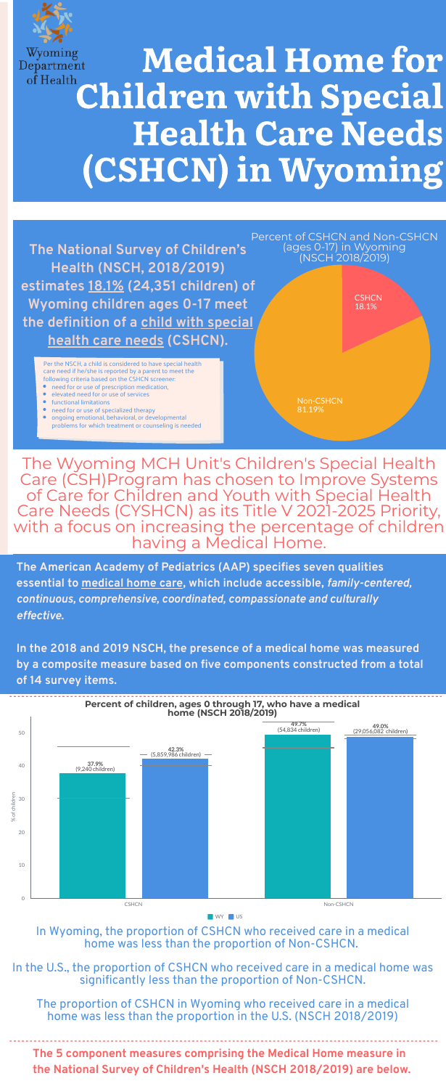### **The 5 component measures comprising the Medical Home measure in the National Survey of Children's Health (NSCH 2018/2019) are below.**

**The American Academy of Pediatrics (AAP) specifies seven qualities essential to medical home care, which include accessible,** *family-centered, continuous, comprehensive, coordinated, compassionate and culturally effective***.**



# Wyoming<br>Department Medical Home for of Health Children with Special Health Care Needs (CSHCN) in Wyoming

**In the 2018 and 2019 NSCH, the presence of a medical home was measured by a composite measure based on five components constructed from a total of 14 survey items.**

The Wyoming MCH Unit's Children's Special Health Care (CSH)Program has chosen to Improve Systems of Care for Children and Youth with Special Health Care Needs (CYSHCN) as its Title V 2021-2025 Priority, with a focus on increasing the percentage of children having a Medical Home.

**The National Survey of Children's Health (NSCH, 2018/2019) estimates 18.1% (24,351 children) of Wyoming children ages 0-17 meet the definition of a child with special health care needs (CSHCN).**

- need for or use of prescription medication,
- elevated need for or use of services
- functional limitations
- need for or use of specialized therapy
- ongoing emotional, behavioral, or developmental problems for which treatment or counseling is needed

In Wyoming, the proportion of CSHCN who received care in a medical home was less than the proportion of Non-CSHCN.

In the U.S., the proportion of CSHCN who received care in a medical home was

### significantly less than the proportion of Non-CSHCN.

### The proportion of CSHCN in Wyoming who received care in a medical home was less than the proportion in the U.S. (NSCH 2018/2019)



Percent of CSHCN and Non-CSHCN (ages 0-17) in Wyoming (NSCH 2018/2019)

Per the NSCH, a child is considered to have special health care need if he/she is reported by a parent to meet the following criteria based on the CSHCN screener:

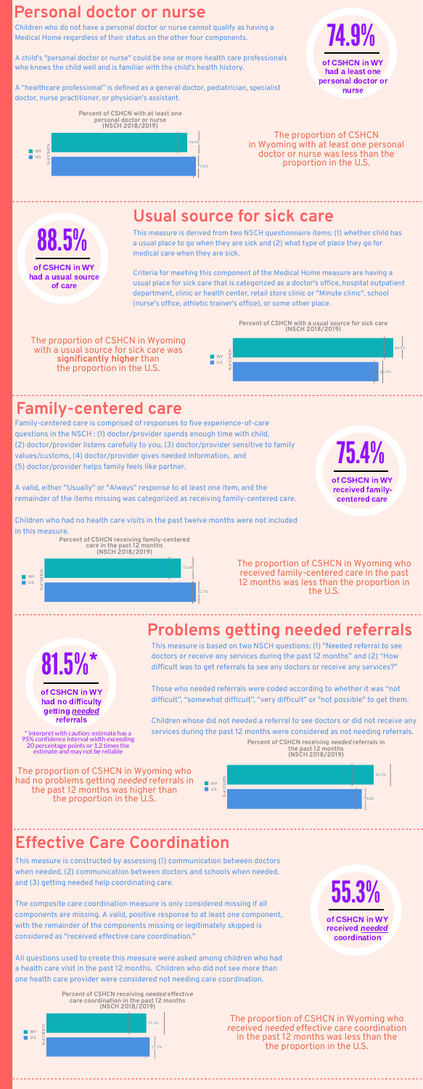

## **Usual source for sick care**

### **Family-centered care**

This measure is derived from two NSCH questionnaire items: (1) whether child has a usual place to go when they are sick and (2) what type of place they go for medical care when they are sick.

Criteria for meeting this component of the Medical Home measure are having a usual place for sick care that is categorized as a doctor's office, hospital outpatient department, clinic or health center, retail store clinic or "Minute clinic", school (nurse's office, athletic trainer's office), or some other place.

Family-centered care is comprised of responses to five experience-of-care questions in the NSCH : (1) doctor/provider spends enough time with child, (2) doctor/provider listens carefully to you, (3) doctor/provider sensitive to family values/customs, (4) doctor/provider gives needed information, and

(5) doctor/provider helps family feels like partner.

A valid, either "Usually" or "Always" response to at least one item, and the remainder of the items missing was categorized as receiving family-centered care.

Children who had no health care visits in the past twelve months were not included in this measure.

## **Personal doctor or nurse**

Children who do not have a personal doctor or nurse cannot qualify as having a Medical Home regardless of their status on the other four components.

A child's "personal doctor or nurse" could be one or more health care professionals who knows the child well and is familiar with the child's health history.

> received needed coordination

A "healthcare professional" is defined as a general doctor, pediatrician, specialist doctor, nurse practitioner, or physician's assistant.

### **Problems getting needed referrals**

This measure is based on two NSCH questions: (1) "Needed referral to see doctors or receive any services during the past 12 months" and (2) "How difficult was to get referrals to see any doctors or receive any services?"

Those who needed referrals were coded according to whether it was "not difficult", "somewhat difficult", "very difficult" or "not possible" to get them.

Children whose did not needed a referral to see doctors or did not receive any services during the past 12 months were considered as not needing referrals.

## **Effective Care Coordination**

This measure is constructed by assessing (1) communication between doctors when needed, (2) communication between doctors and schools when needed, and (3) getting needed help coordinating care.

The composite care coordination measure is only considered missing if all components are missing. A valid, positive response to at least one component, with the remainder of the components missing or legitimately skipped is considered as "received effective care coordination."

All questions used to create this measure were asked among children who had a health care visit in the past 12 months. Children who did not see more than one health care provider were considered not needing care coordination.

74.9%

of CSHCN in WY had a least one personal doctor or nurse



had a usual source of care



of CSHCN in WY received familycentered care

81.5%\*

of CSHCN in WY had no difficulty getting **needed** referrals

> 55.3% of CSHCN in WY

\* interpret with caution: estimate has a 95% confidence interval width exceeding 20 percentage points or 1.2 times the estimate and may not be reliable

The proportion of CSHCN in Wyoming with a usual source for sick care was **significantly higher** than the proportion in the U.S.

The proportion of CSHCN in Wyoming with at least one personal doctor or nurse was less than the proportion in the U.S.

The proportion of CSHCN in Wyoming who received family-centered care in the past 12 months was less than the proportion in the U.S.

The proportion of CSHCN in Wyoming who had no problems getting *needed* referrals in the past 12 months was higher than the proportion in the U.S.

> The proportion of CSHCN in Wyoming who received *needed* effective care coordination in the past 12 months was less than the the proportion in the U.S.









**Percent of CSHCN receiving** *needed* **referrals in the past 12 months (NSCH 2018/2019)**



**Percent of CSHCN receiving** *needed* **effective care coordination in the past 12 months (NSCH 2018/2019)**